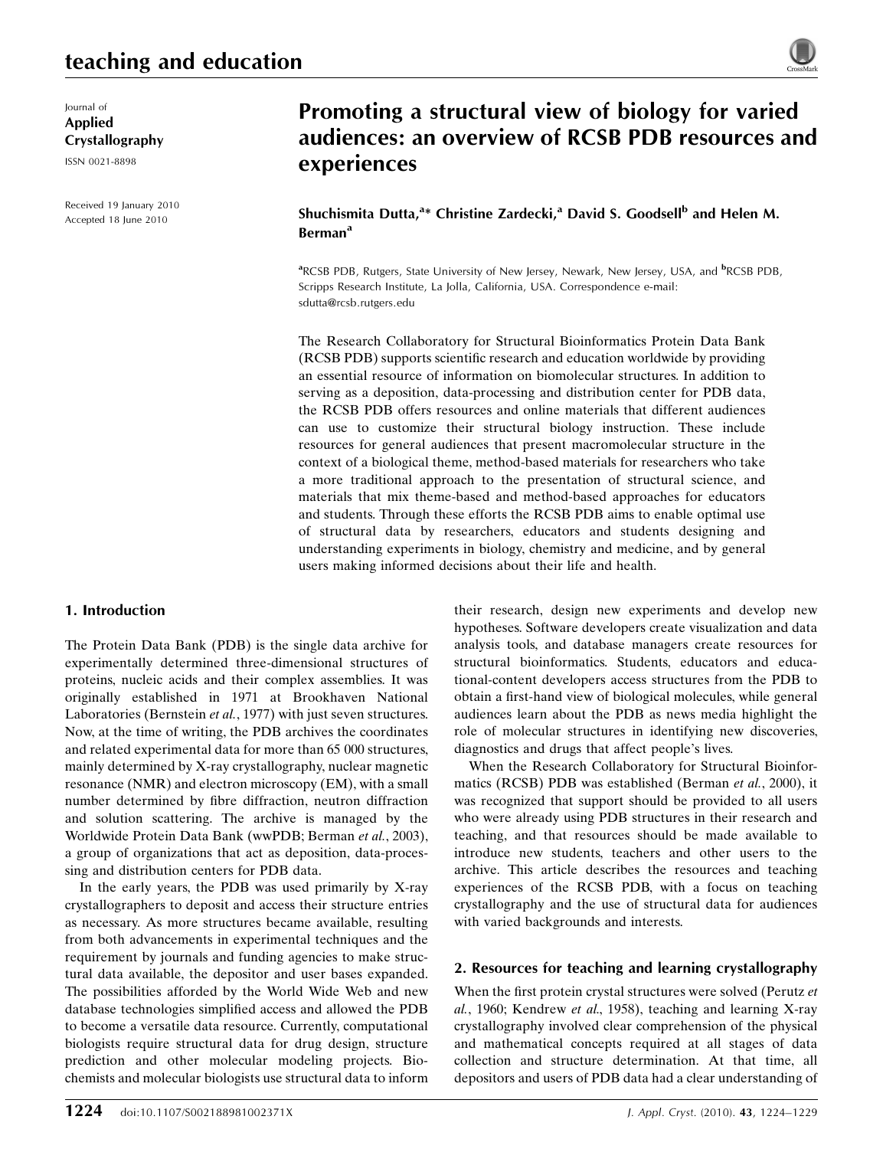Journal of Applied Crystallography ISSN 0021-8898

Received 19 January 2010 Accepted 18 June 2010

# Promoting a structural view of biology for varied audiences: an overview of RCSB PDB resources and experiences

Shuchismita Dutta,<sup>a\*</sup> Christine Zardecki,<sup>a</sup> David S. Goodsell<sup>b</sup> and Helen M. **Berman<sup>a</sup>** 

<sup>a</sup>RCSB PDB, Rutgers, State University of New Jersey, Newark, New Jersey, USA, and <sup>b</sup>RCSB PDB, Scripps Research Institute, La Jolla, California, USA. Correspondence e-mail: sdutta@rcsb.rutgers.edu

The Research Collaboratory for Structural Bioinformatics Protein Data Bank (RCSB PDB) supports scientific research and education worldwide by providing an essential resource of information on biomolecular structures. In addition to serving as a deposition, data-processing and distribution center for PDB data, the RCSB PDB offers resources and online materials that different audiences can use to customize their structural biology instruction. These include resources for general audiences that present macromolecular structure in the context of a biological theme, method-based materials for researchers who take a more traditional approach to the presentation of structural science, and materials that mix theme-based and method-based approaches for educators and students. Through these efforts the RCSB PDB aims to enable optimal use of structural data by researchers, educators and students designing and understanding experiments in biology, chemistry and medicine, and by general users making informed decisions about their life and health.

# 1. Introduction

The Protein Data Bank (PDB) is the single data archive for experimentally determined three-dimensional structures of proteins, nucleic acids and their complex assemblies. It was originally established in 1971 at Brookhaven National Laboratories (Bernstein et al., 1977) with just seven structures. Now, at the time of writing, the PDB archives the coordinates and related experimental data for more than 65 000 structures, mainly determined by X-ray crystallography, nuclear magnetic resonance (NMR) and electron microscopy (EM), with a small number determined by fibre diffraction, neutron diffraction and solution scattering. The archive is managed by the Worldwide Protein Data Bank (wwPDB; Berman et al., 2003), a group of organizations that act as deposition, data-processing and distribution centers for PDB data.

In the early years, the PDB was used primarily by X-ray crystallographers to deposit and access their structure entries as necessary. As more structures became available, resulting from both advancements in experimental techniques and the requirement by journals and funding agencies to make structural data available, the depositor and user bases expanded. The possibilities afforded by the World Wide Web and new database technologies simplified access and allowed the PDB to become a versatile data resource. Currently, computational biologists require structural data for drug design, structure prediction and other molecular modeling projects. Biochemists and molecular biologists use structural data to inform their research, design new experiments and develop new hypotheses. Software developers create visualization and data analysis tools, and database managers create resources for structural bioinformatics. Students, educators and educational-content developers access structures from the PDB to obtain a first-hand view of biological molecules, while general audiences learn about the PDB as news media highlight the role of molecular structures in identifying new discoveries, diagnostics and drugs that affect people's lives.

When the Research Collaboratory for Structural Bioinformatics (RCSB) PDB was established (Berman et al., 2000), it was recognized that support should be provided to all users who were already using PDB structures in their research and teaching, and that resources should be made available to introduce new students, teachers and other users to the archive. This article describes the resources and teaching experiences of the RCSB PDB, with a focus on teaching crystallography and the use of structural data for audiences with varied backgrounds and interests.

### 2. Resources for teaching and learning crystallography

When the first protein crystal structures were solved (Perutz et al., 1960; Kendrew et al., 1958), teaching and learning X-ray crystallography involved clear comprehension of the physical and mathematical concepts required at all stages of data collection and structure determination. At that time, all depositors and users of PDB data had a clear understanding of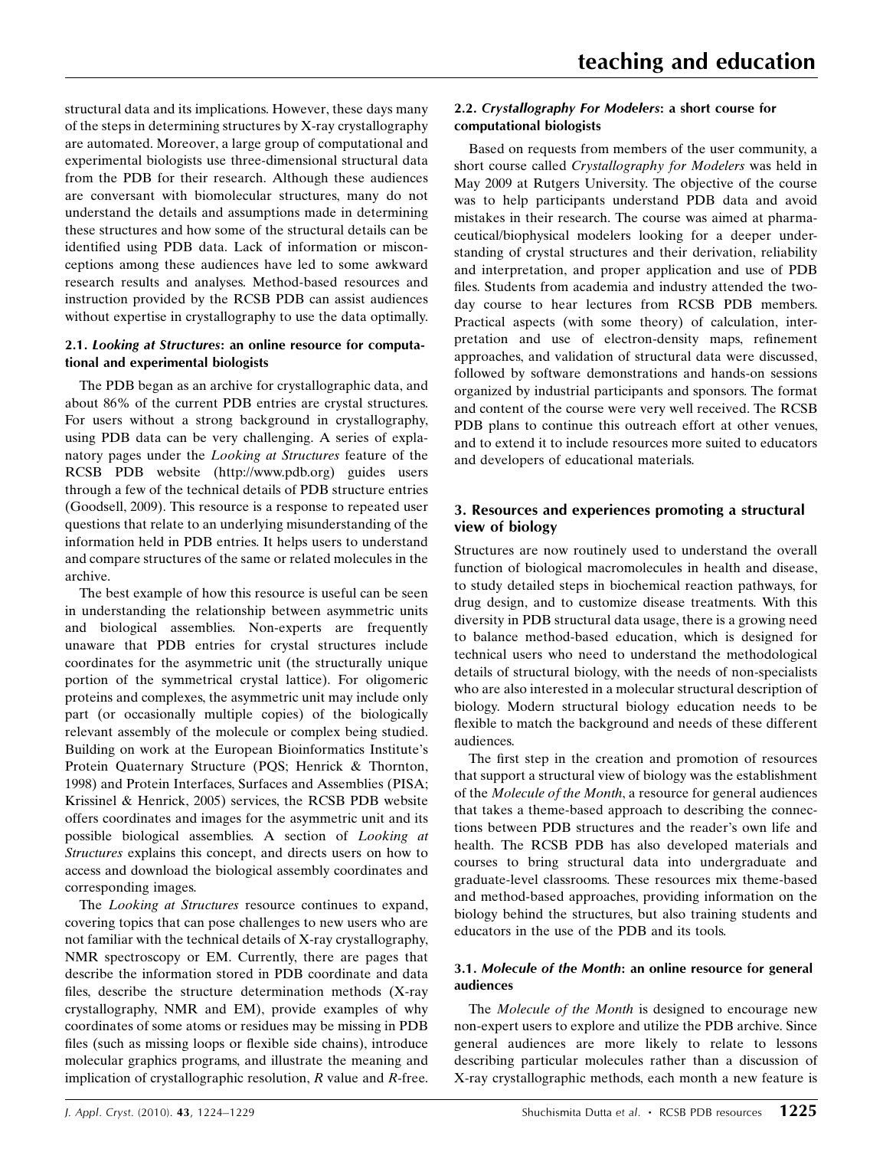structural data and its implications. However, these days many of the steps in determining structures by X-ray crystallography are automated. Moreover, a large group of computational and experimental biologists use three-dimensional structural data from the PDB for their research. Although these audiences are conversant with biomolecular structures, many do not understand the details and assumptions made in determining these structures and how some of the structural details can be identified using PDB data. Lack of information or misconceptions among these audiences have led to some awkward research results and analyses. Method-based resources and instruction provided by the RCSB PDB can assist audiences without expertise in crystallography to use the data optimally.

#### 2.1. Looking at Structures: an online resource for computational and experimental biologists

The PDB began as an archive for crystallographic data, and about 86% of the current PDB entries are crystal structures. For users without a strong background in crystallography, using PDB data can be very challenging. A series of explanatory pages under the Looking at Structures feature of the RCSB PDB website (http://www.pdb.org) guides users through a few of the technical details of PDB structure entries (Goodsell, 2009). This resource is a response to repeated user questions that relate to an underlying misunderstanding of the information held in PDB entries. It helps users to understand and compare structures of the same or related molecules in the archive.

The best example of how this resource is useful can be seen in understanding the relationship between asymmetric units and biological assemblies. Non-experts are frequently unaware that PDB entries for crystal structures include coordinates for the asymmetric unit (the structurally unique portion of the symmetrical crystal lattice). For oligomeric proteins and complexes, the asymmetric unit may include only part (or occasionally multiple copies) of the biologically relevant assembly of the molecule or complex being studied. Building on work at the European Bioinformatics Institute's Protein Quaternary Structure (PQS; Henrick & Thornton, 1998) and Protein Interfaces, Surfaces and Assemblies (PISA; Krissinel & Henrick, 2005) services, the RCSB PDB website offers coordinates and images for the asymmetric unit and its possible biological assemblies. A section of Looking at Structures explains this concept, and directs users on how to access and download the biological assembly coordinates and corresponding images.

The Looking at Structures resource continues to expand, covering topics that can pose challenges to new users who are not familiar with the technical details of X-ray crystallography, NMR spectroscopy or EM. Currently, there are pages that describe the information stored in PDB coordinate and data files, describe the structure determination methods (X-ray crystallography, NMR and EM), provide examples of why coordinates of some atoms or residues may be missing in PDB files (such as missing loops or flexible side chains), introduce molecular graphics programs, and illustrate the meaning and implication of crystallographic resolution, R value and R-free.

#### 2.2. Crystallography For Modelers: a short course for computational biologists

Based on requests from members of the user community, a short course called Crystallography for Modelers was held in May 2009 at Rutgers University. The objective of the course was to help participants understand PDB data and avoid mistakes in their research. The course was aimed at pharmaceutical/biophysical modelers looking for a deeper understanding of crystal structures and their derivation, reliability and interpretation, and proper application and use of PDB files. Students from academia and industry attended the twoday course to hear lectures from RCSB PDB members. Practical aspects (with some theory) of calculation, interpretation and use of electron-density maps, refinement approaches, and validation of structural data were discussed, followed by software demonstrations and hands-on sessions organized by industrial participants and sponsors. The format and content of the course were very well received. The RCSB PDB plans to continue this outreach effort at other venues, and to extend it to include resources more suited to educators and developers of educational materials.

# 3. Resources and experiences promoting a structural view of biology

Structures are now routinely used to understand the overall function of biological macromolecules in health and disease, to study detailed steps in biochemical reaction pathways, for drug design, and to customize disease treatments. With this diversity in PDB structural data usage, there is a growing need to balance method-based education, which is designed for technical users who need to understand the methodological details of structural biology, with the needs of non-specialists who are also interested in a molecular structural description of biology. Modern structural biology education needs to be flexible to match the background and needs of these different audiences.

The first step in the creation and promotion of resources that support a structural view of biology was the establishment of the Molecule of the Month, a resource for general audiences that takes a theme-based approach to describing the connections between PDB structures and the reader's own life and health. The RCSB PDB has also developed materials and courses to bring structural data into undergraduate and graduate-level classrooms. These resources mix theme-based and method-based approaches, providing information on the biology behind the structures, but also training students and educators in the use of the PDB and its tools.

### 3.1. Molecule of the Month: an online resource for general audiences

The Molecule of the Month is designed to encourage new non-expert users to explore and utilize the PDB archive. Since general audiences are more likely to relate to lessons describing particular molecules rather than a discussion of X-ray crystallographic methods, each month a new feature is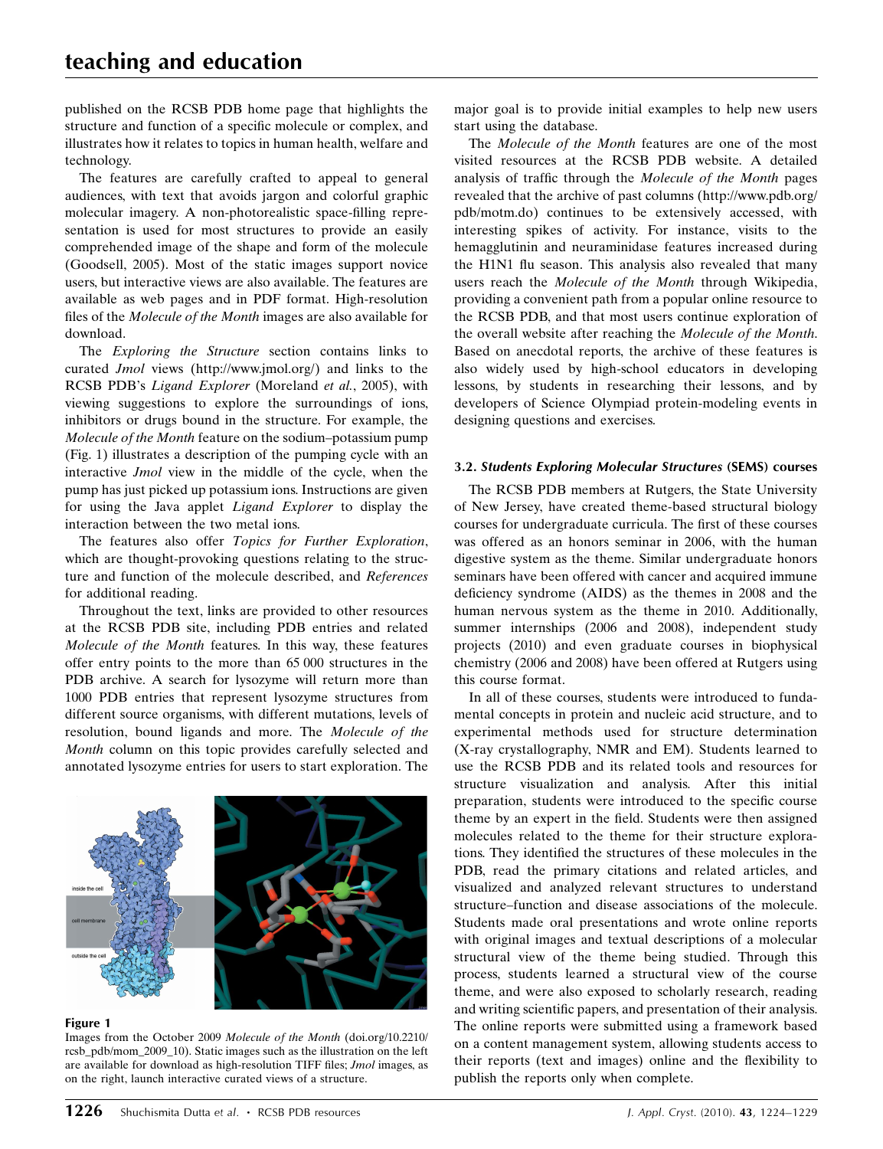published on the RCSB PDB home page that highlights the structure and function of a specific molecule or complex, and illustrates how it relates to topics in human health, welfare and technology.

The features are carefully crafted to appeal to general audiences, with text that avoids jargon and colorful graphic molecular imagery. A non-photorealistic space-filling representation is used for most structures to provide an easily comprehended image of the shape and form of the molecule (Goodsell, 2005). Most of the static images support novice users, but interactive views are also available. The features are available as web pages and in PDF format. High-resolution files of the Molecule of the Month images are also available for download.

The Exploring the Structure section contains links to curated Jmol views (http://www.jmol.org/) and links to the RCSB PDB's Ligand Explorer (Moreland et al., 2005), with viewing suggestions to explore the surroundings of ions, inhibitors or drugs bound in the structure. For example, the Molecule of the Month feature on the sodium–potassium pump (Fig. 1) illustrates a description of the pumping cycle with an interactive Jmol view in the middle of the cycle, when the pump has just picked up potassium ions. Instructions are given for using the Java applet Ligand Explorer to display the interaction between the two metal ions.

The features also offer Topics for Further Exploration, which are thought-provoking questions relating to the structure and function of the molecule described, and References for additional reading.

Throughout the text, links are provided to other resources at the RCSB PDB site, including PDB entries and related Molecule of the Month features. In this way, these features offer entry points to the more than 65 000 structures in the PDB archive. A search for lysozyme will return more than 1000 PDB entries that represent lysozyme structures from different source organisms, with different mutations, levels of resolution, bound ligands and more. The Molecule of the Month column on this topic provides carefully selected and annotated lysozyme entries for users to start exploration. The



#### Figure 1

Images from the October 2009 Molecule of the Month (doi.org/10.2210/ rcsb\_pdb/mom\_2009\_10). Static images such as the illustration on the left are available for download as high-resolution TIFF files; Jmol images, as on the right, launch interactive curated views of a structure.

major goal is to provide initial examples to help new users start using the database.

The Molecule of the Month features are one of the most visited resources at the RCSB PDB website. A detailed analysis of traffic through the Molecule of the Month pages revealed that the archive of past columns (http://www.pdb.org/ pdb/motm.do) continues to be extensively accessed, with interesting spikes of activity. For instance, visits to the hemagglutinin and neuraminidase features increased during the H1N1 flu season. This analysis also revealed that many users reach the Molecule of the Month through Wikipedia, providing a convenient path from a popular online resource to the RCSB PDB, and that most users continue exploration of the overall website after reaching the Molecule of the Month. Based on anecdotal reports, the archive of these features is also widely used by high-school educators in developing lessons, by students in researching their lessons, and by developers of Science Olympiad protein-modeling events in designing questions and exercises.

#### 3.2. Students Exploring Molecular Structures (SEMS) courses

The RCSB PDB members at Rutgers, the State University of New Jersey, have created theme-based structural biology courses for undergraduate curricula. The first of these courses was offered as an honors seminar in 2006, with the human digestive system as the theme. Similar undergraduate honors seminars have been offered with cancer and acquired immune deficiency syndrome (AIDS) as the themes in 2008 and the human nervous system as the theme in 2010. Additionally, summer internships (2006 and 2008), independent study projects (2010) and even graduate courses in biophysical chemistry (2006 and 2008) have been offered at Rutgers using this course format.

In all of these courses, students were introduced to fundamental concepts in protein and nucleic acid structure, and to experimental methods used for structure determination (X-ray crystallography, NMR and EM). Students learned to use the RCSB PDB and its related tools and resources for structure visualization and analysis. After this initial preparation, students were introduced to the specific course theme by an expert in the field. Students were then assigned molecules related to the theme for their structure explorations. They identified the structures of these molecules in the PDB, read the primary citations and related articles, and visualized and analyzed relevant structures to understand structure–function and disease associations of the molecule. Students made oral presentations and wrote online reports with original images and textual descriptions of a molecular structural view of the theme being studied. Through this process, students learned a structural view of the course theme, and were also exposed to scholarly research, reading and writing scientific papers, and presentation of their analysis. The online reports were submitted using a framework based on a content management system, allowing students access to their reports (text and images) online and the flexibility to publish the reports only when complete.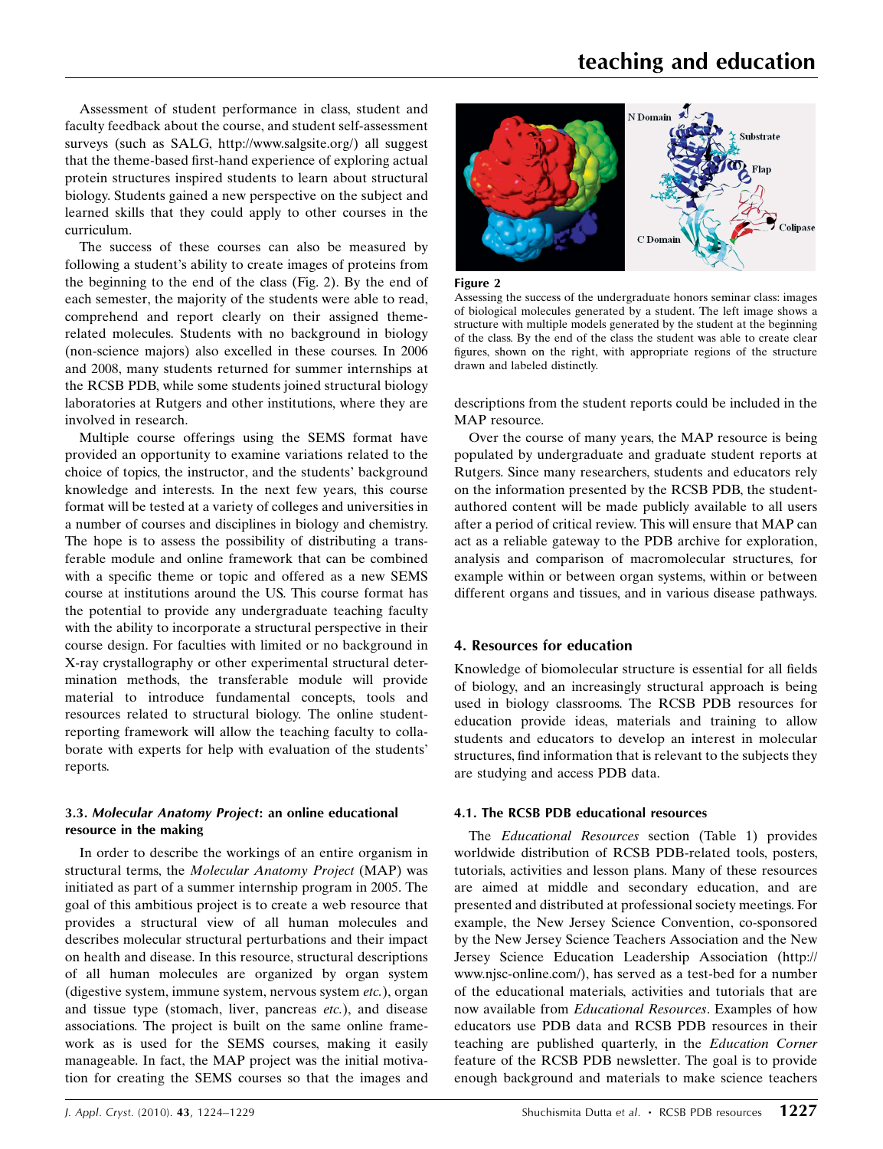Assessment of student performance in class, student and faculty feedback about the course, and student self-assessment surveys (such as SALG, http://www.salgsite.org/) all suggest that the theme-based first-hand experience of exploring actual protein structures inspired students to learn about structural biology. Students gained a new perspective on the subject and learned skills that they could apply to other courses in the curriculum.

The success of these courses can also be measured by following a student's ability to create images of proteins from the beginning to the end of the class (Fig. 2). By the end of each semester, the majority of the students were able to read, comprehend and report clearly on their assigned themerelated molecules. Students with no background in biology (non-science majors) also excelled in these courses. In 2006 and 2008, many students returned for summer internships at the RCSB PDB, while some students joined structural biology laboratories at Rutgers and other institutions, where they are involved in research.

Multiple course offerings using the SEMS format have provided an opportunity to examine variations related to the choice of topics, the instructor, and the students' background knowledge and interests. In the next few years, this course format will be tested at a variety of colleges and universities in a number of courses and disciplines in biology and chemistry. The hope is to assess the possibility of distributing a transferable module and online framework that can be combined with a specific theme or topic and offered as a new SEMS course at institutions around the US. This course format has the potential to provide any undergraduate teaching faculty with the ability to incorporate a structural perspective in their course design. For faculties with limited or no background in X-ray crystallography or other experimental structural determination methods, the transferable module will provide material to introduce fundamental concepts, tools and resources related to structural biology. The online studentreporting framework will allow the teaching faculty to collaborate with experts for help with evaluation of the students' reports.

### 3.3. Molecular Anatomy Project: an online educational resource in the making

In order to describe the workings of an entire organism in structural terms, the Molecular Anatomy Project (MAP) was initiated as part of a summer internship program in 2005. The goal of this ambitious project is to create a web resource that provides a structural view of all human molecules and describes molecular structural perturbations and their impact on health and disease. In this resource, structural descriptions of all human molecules are organized by organ system (digestive system, immune system, nervous system etc.), organ and tissue type (stomach, liver, pancreas etc.), and disease associations. The project is built on the same online framework as is used for the SEMS courses, making it easily manageable. In fact, the MAP project was the initial motivation for creating the SEMS courses so that the images and



Figure 2

Assessing the success of the undergraduate honors seminar class: images of biological molecules generated by a student. The left image shows a structure with multiple models generated by the student at the beginning of the class. By the end of the class the student was able to create clear figures, shown on the right, with appropriate regions of the structure drawn and labeled distinctly.

descriptions from the student reports could be included in the MAP resource.

Over the course of many years, the MAP resource is being populated by undergraduate and graduate student reports at Rutgers. Since many researchers, students and educators rely on the information presented by the RCSB PDB, the studentauthored content will be made publicly available to all users after a period of critical review. This will ensure that MAP can act as a reliable gateway to the PDB archive for exploration, analysis and comparison of macromolecular structures, for example within or between organ systems, within or between different organs and tissues, and in various disease pathways.

### 4. Resources for education

Knowledge of biomolecular structure is essential for all fields of biology, and an increasingly structural approach is being used in biology classrooms. The RCSB PDB resources for education provide ideas, materials and training to allow students and educators to develop an interest in molecular structures, find information that is relevant to the subjects they are studying and access PDB data.

### 4.1. The RCSB PDB educational resources

The Educational Resources section (Table 1) provides worldwide distribution of RCSB PDB-related tools, posters, tutorials, activities and lesson plans. Many of these resources are aimed at middle and secondary education, and are presented and distributed at professional society meetings. For example, the New Jersey Science Convention, co-sponsored by the New Jersey Science Teachers Association and the New Jersey Science Education Leadership Association (http:// www.njsc-online.com/), has served as a test-bed for a number of the educational materials, activities and tutorials that are now available from Educational Resources. Examples of how educators use PDB data and RCSB PDB resources in their teaching are published quarterly, in the Education Corner feature of the RCSB PDB newsletter. The goal is to provide enough background and materials to make science teachers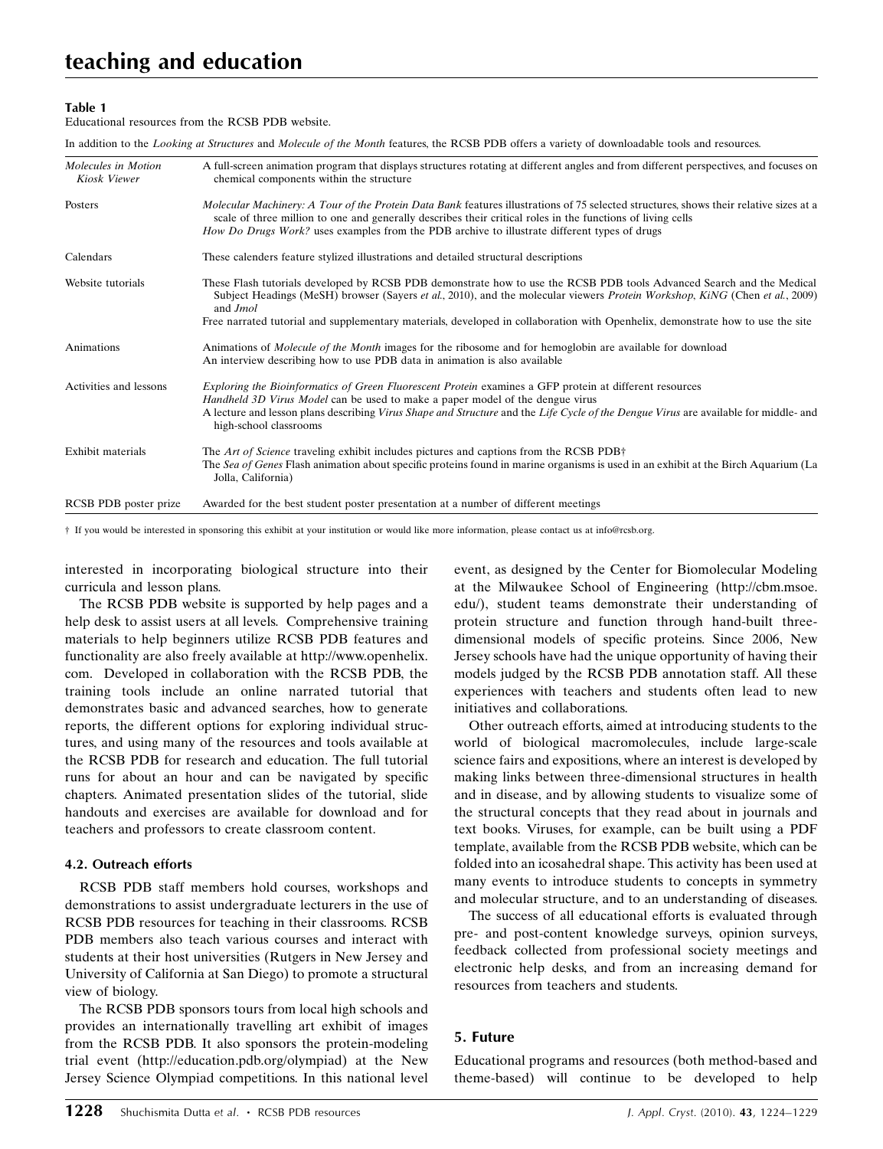# teaching and education

#### Table 1

Educational resources from the RCSB PDB website.

In addition to the Looking at Structures and Molecule of the Month features, the RCSB PDB offers a variety of downloadable tools and resources.

| Molecules in Motion<br>Kiosk Viewer | A full-screen animation program that displays structures rotating at different angles and from different perspectives, and focuses on<br>chemical components within the structure                                                                                                                                                                                 |
|-------------------------------------|-------------------------------------------------------------------------------------------------------------------------------------------------------------------------------------------------------------------------------------------------------------------------------------------------------------------------------------------------------------------|
| Posters                             | Molecular Machinery: A Tour of the Protein Data Bank features illustrations of 75 selected structures, shows their relative sizes at a<br>scale of three million to one and generally describes their critical roles in the functions of living cells<br>How Do Drugs Work? uses examples from the PDB archive to illustrate different types of drugs             |
| Calendars                           | These calenders feature stylized illustrations and detailed structural descriptions                                                                                                                                                                                                                                                                               |
| Website tutorials                   | These Flash tutorials developed by RCSB PDB demonstrate how to use the RCSB PDB tools Advanced Search and the Medical<br>Subject Headings (MeSH) browser (Sayers et al., 2010), and the molecular viewers Protein Workshop, KiNG (Chen et al., 2009)<br>and <i>Jmol</i>                                                                                           |
|                                     | Free narrated tutorial and supplementary materials, developed in collaboration with Openhelix, demonstrate how to use the site                                                                                                                                                                                                                                    |
| Animations                          | Animations of <i>Molecule of the Month</i> images for the ribosome and for hemoglobin are available for download<br>An interview describing how to use PDB data in animation is also available                                                                                                                                                                    |
| Activities and lessons              | Exploring the Bioinformatics of Green Fluorescent Protein examines a GFP protein at different resources<br><i>Handheld 3D Virus Model</i> can be used to make a paper model of the dengue virus<br>A lecture and lesson plans describing Virus Shape and Structure and the Life Cycle of the Dengue Virus are available for middle- and<br>high-school classrooms |
| Exhibit materials                   | The Art of Science traveling exhibit includes pictures and captions from the RCSB PDB <sup>+</sup><br>The Sea of Genes Flash animation about specific proteins found in marine organisms is used in an exhibit at the Birch Aquarium (La<br>Jolla, California)                                                                                                    |
| RCSB PDB poster prize               | Awarded for the best student poster presentation at a number of different meetings                                                                                                                                                                                                                                                                                |

† If you would be interested in sponsoring this exhibit at your institution or would like more information, please contact us at info@rcsb.org.

interested in incorporating biological structure into their curricula and lesson plans.

The RCSB PDB website is supported by help pages and a help desk to assist users at all levels. Comprehensive training materials to help beginners utilize RCSB PDB features and functionality are also freely available at http://www.openhelix. com. Developed in collaboration with the RCSB PDB, the training tools include an online narrated tutorial that demonstrates basic and advanced searches, how to generate reports, the different options for exploring individual structures, and using many of the resources and tools available at the RCSB PDB for research and education. The full tutorial runs for about an hour and can be navigated by specific chapters. Animated presentation slides of the tutorial, slide handouts and exercises are available for download and for teachers and professors to create classroom content.

### 4.2. Outreach efforts

RCSB PDB staff members hold courses, workshops and demonstrations to assist undergraduate lecturers in the use of RCSB PDB resources for teaching in their classrooms. RCSB PDB members also teach various courses and interact with students at their host universities (Rutgers in New Jersey and University of California at San Diego) to promote a structural view of biology.

The RCSB PDB sponsors tours from local high schools and provides an internationally travelling art exhibit of images from the RCSB PDB. It also sponsors the protein-modeling trial event (http://education.pdb.org/olympiad) at the New Jersey Science Olympiad competitions. In this national level event, as designed by the Center for Biomolecular Modeling at the Milwaukee School of Engineering (http://cbm.msoe. edu/), student teams demonstrate their understanding of protein structure and function through hand-built threedimensional models of specific proteins. Since 2006, New Jersey schools have had the unique opportunity of having their models judged by the RCSB PDB annotation staff. All these experiences with teachers and students often lead to new initiatives and collaborations.

Other outreach efforts, aimed at introducing students to the world of biological macromolecules, include large-scale science fairs and expositions, where an interest is developed by making links between three-dimensional structures in health and in disease, and by allowing students to visualize some of the structural concepts that they read about in journals and text books. Viruses, for example, can be built using a PDF template, available from the RCSB PDB website, which can be folded into an icosahedral shape. This activity has been used at many events to introduce students to concepts in symmetry and molecular structure, and to an understanding of diseases.

The success of all educational efforts is evaluated through pre- and post-content knowledge surveys, opinion surveys, feedback collected from professional society meetings and electronic help desks, and from an increasing demand for resources from teachers and students.

# 5. Future

Educational programs and resources (both method-based and theme-based) will continue to be developed to help